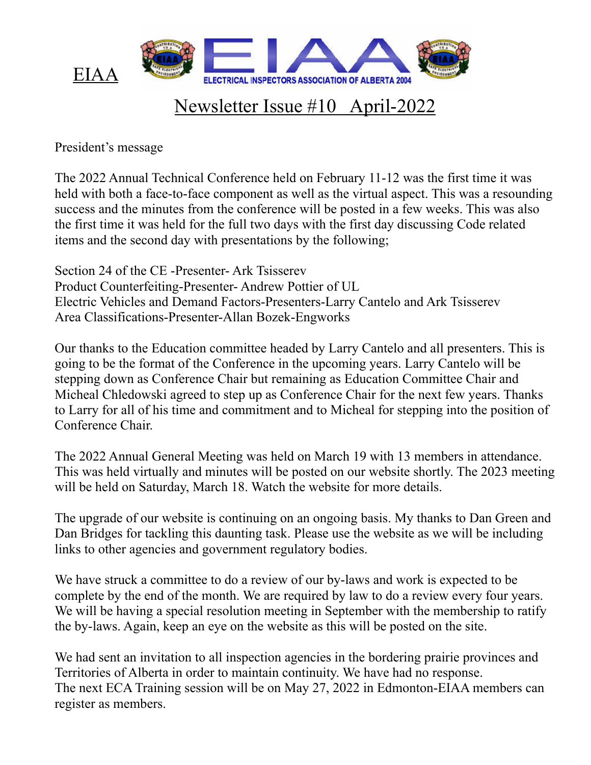

## Newsletter Issue #10 April-2022

President's message

The 2022 Annual Technical Conference held on February 11-12 was the first time it was held with both a face-to-face component as well as the virtual aspect. This was a resounding success and the minutes from the conference will be posted in a few weeks. This was also the first time it was held for the full two days with the first day discussing Code related items and the second day with presentations by the following;

Section 24 of the CE -Presenter- Ark Tsisserev Product Counterfeiting-Presenter- Andrew Pottier of UL Electric Vehicles and Demand Factors-Presenters-Larry Cantelo and Ark Tsisserev Area Classifications-Presenter-Allan Bozek-Engworks

Our thanks to the Education committee headed by Larry Cantelo and all presenters. This is going to be the format of the Conference in the upcoming years. Larry Cantelo will be stepping down as Conference Chair but remaining as Education Committee Chair and Micheal Chledowski agreed to step up as Conference Chair for the next few years. Thanks to Larry for all of his time and commitment and to Micheal for stepping into the position of Conference Chair.

The 2022 Annual General Meeting was held on March 19 with 13 members in attendance. This was held virtually and minutes will be posted on our website shortly. The 2023 meeting will be held on Saturday, March 18. Watch the website for more details.

The upgrade of our website is continuing on an ongoing basis. My thanks to Dan Green and Dan Bridges for tackling this daunting task. Please use the website as we will be including links to other agencies and government regulatory bodies.

We have struck a committee to do a review of our by-laws and work is expected to be complete by the end of the month. We are required by law to do a review every four years. We will be having a special resolution meeting in September with the membership to ratify the by-laws. Again, keep an eye on the website as this will be posted on the site.

We had sent an invitation to all inspection agencies in the bordering prairie provinces and Territories of Alberta in order to maintain continuity. We have had no response. The next ECA Training session will be on May 27, 2022 in Edmonton-EIAA members can register as members.